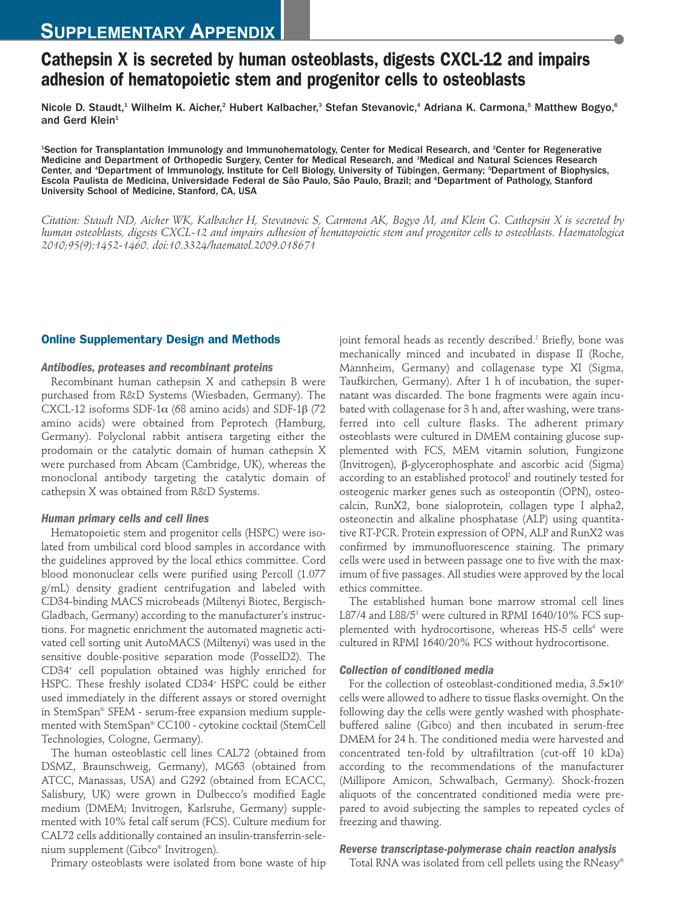# **Cathepsin X is secreted by human osteoblasts, digests CXCL-12 and impairs adhesion of hematopoietic stem and progenitor cells to osteoblasts**

Nicole D. Staudt,<sup>1</sup> Wilhelm K. Aicher,<sup>2</sup> Hubert Kalbacher,<sup>3</sup> Stefan Stevanovic,<sup>4</sup> Adriana K. Carmona,<sup>5</sup> Matthew Bogyo,<sup>6</sup> and Gerd Klein<sup>1</sup>

1 Section for Transplantation Immunology and Immunohematology, Center for Medical Research, and 2 Center for Regenerative Medicine and Department of Orthopedic Surgery, Center for Medical Research, and 3 Medical and Natural Sciences Research Center, and <sup>4</sup>Department of Immunology, Institute for Cell Biology, University of Tübingen, Germany; <sup>5</sup>Department of Biophysics, Escola Paulista de Medicina, Universidade Federal de São Paulo, São Paulo, Brazil; and <sup>6</sup>Department of Pathology, Stanford University School of Medicine, Stanford, CA, USA

*Citation: Staudt ND, Aicher WK, Kalbacher H, Stevanovic S, Carmona AK, Bogyo M, and Klein G. Cathepsin X is secreted by human osteoblasts, digests CXCL-12 and impairs adhesion of hematopoietic stem and progenitor cells to osteoblasts. Haematologica 2010;95(9):1452-1460. doi:10.3324/haematol.2009.018671*

#### **Online Supplementary Design and Methods**

## *Antibodies, proteases and recombinant proteins*

Recombinant human cathepsin X and cathepsin B were purchased from R&D Systems (Wiesbaden, Germany). The CXCL-12 isoforms SDF-1 $\alpha$  (68 amino acids) and SDF-1 $\beta$  (72 amino acids) were obtained from Peprotech (Hamburg, Germany). Polyclonal rabbit antisera targeting either the prodomain or the catalytic domain of human cathepsin X were purchased from Abcam (Cambridge, UK), whereas the monoclonal antibody targeting the catalytic domain of cathepsin X was obtained from R&D Systems.

#### *Human primary cells and cell lines*

Hematopoietic stem and progenitor cells (HSPC) were isolated from umbilical cord blood samples in accordance with the guidelines approved by the local ethics committee. Cord blood mononuclear cells were purified using Percoll (1.077 g/mL) density gradient centrifugation and labeled with CD34-binding MACS microbeads (Miltenyi Biotec, Bergisch-Gladbach, Germany) according to the manufacturer's instructions. For magnetic enrichment the automated magnetic activated cell sorting unit AutoMACS (Miltenyi) was used in the sensitive double-positive separation mode (PosselD2). The CD34+ cell population obtained was highly enriched for HSPC. These freshly isolated CD34<sup>+</sup> HSPC could be either used immediately in the different assays or stored overnight in StemSpan® SFEM - serum-free expansion medium supplemented with StemSpan® CC100 - cytokine cocktail (StemCell Technologies, Cologne, Germany).

The human osteoblastic cell lines CAL72 (obtained from DSMZ, Braunschweig, Germany), MG63 (obtained from ATCC, Manassas, USA) and G292 (obtained from ECACC, Salisbury, UK) were grown in Dulbecco's modified Eagle medium (DMEM; Invitrogen, Karlsruhe, Germany) supplemented with 10% fetal calf serum (FCS). Culture medium for CAL72 cells additionally contained an insulin-transferrin-selenium supplement (Gibco® Invitrogen).

Primary osteoblasts were isolated from bone waste of hip

joint femoral heads as recently described.<sup>1</sup> Briefly, bone was mechanically minced and incubated in dispase II (Roche, Mannheim, Germany) and collagenase type XI (Sigma, Taufkirchen, Germany). After 1 h of incubation, the supernatant was discarded. The bone fragments were again incubated with collagenase for 3 h and, after washing, were transferred into cell culture flasks. The adherent primary osteoblasts were cultured in DMEM containing glucose supplemented with FCS, MEM vitamin solution, Fungizone (Invitrogen), β-glycerophosphate and ascorbic acid (Sigma) according to an established protocol<sup>2</sup> and routinely tested for osteogenic marker genes such as osteopontin (OPN), osteocalcin, RunX2, bone sialoprotein, collagen type I alpha2, osteonectin and alkaline phosphatase (ALP) using quantitative RT-PCR. Protein expression of OPN, ALP and RunX2 was confirmed by immunofluorescence staining. The primary cells were used in between passage one to five with the maximum of five passages. All studies were approved by the local ethics committee.

The established human bone marrow stromal cell lines L87/4 and L88/5<sup>3</sup> were cultured in RPMI 1640/10% FCS supplemented with hydrocortisone, whereas  $HS-5$  cells<sup>4</sup> were cultured in RPMI 1640/20% FCS without hydrocortisone.

# *Collection of conditioned media*

For the collection of osteoblast-conditioned media,  $3.5 \times 10^{6}$ cells were allowed to adhere to tissue flasks overnight. On the following day the cells were gently washed with phosphatebuffered saline (Gibco) and then incubated in serum-free DMEM for 24 h. The conditioned media were harvested and concentrated ten-fold by ultrafiltration (cut-off 10 kDa) according to the recommendations of the manufacturer (Millipore Amicon, Schwalbach, Germany). Shock-frozen aliquots of the concentrated conditioned media were prepared to avoid subjecting the samples to repeated cycles of freezing and thawing.

#### *Reverse transcriptase-polymerase chain reaction analysis*

Total RNA was isolated from cell pellets using the RNeasy®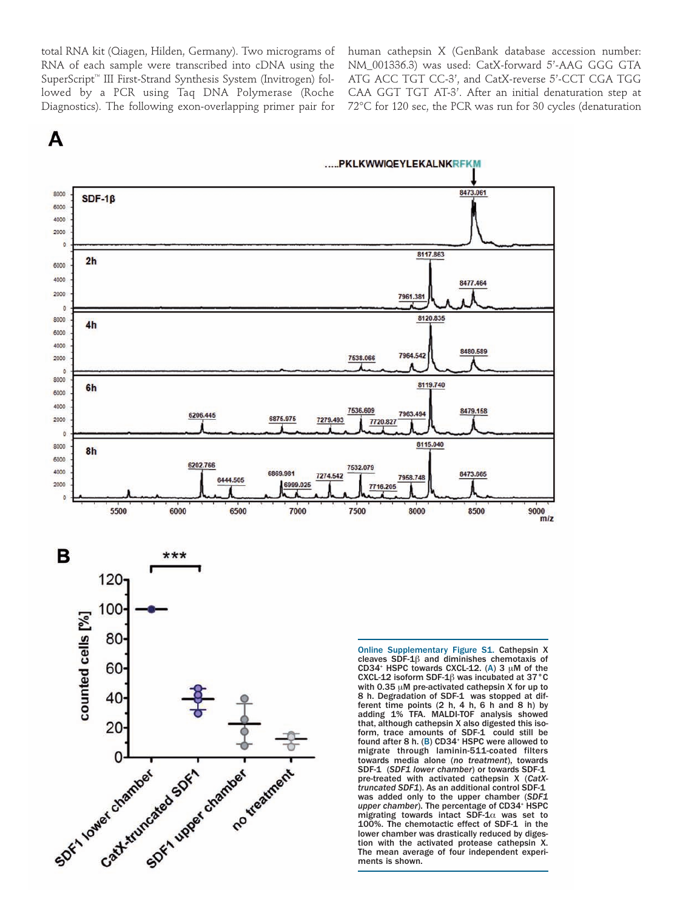total RNA kit (Qiagen, Hilden, Germany). Two micrograms of RNA of each sample were transcribed into cDNA using the SuperScript<sup>™</sup> III First-Strand Synthesis System (Invitrogen) followed by a PCR using Taq DNA Polymerase (Roche Diagnostics). The following exon-overlapping primer pair for human cathepsin X (GenBank database accession number: NM\_001336.3) was used: CatX-forward 5'-AAG GGG GTA ATG ACC TGT CC-3', and CatX-reverse 5'-CCT CGA TGG CAA GGT TGT AT-3'. After an initial denaturation step at 72°C for 120 sec, the PCR was run for 30 cycles (denaturation

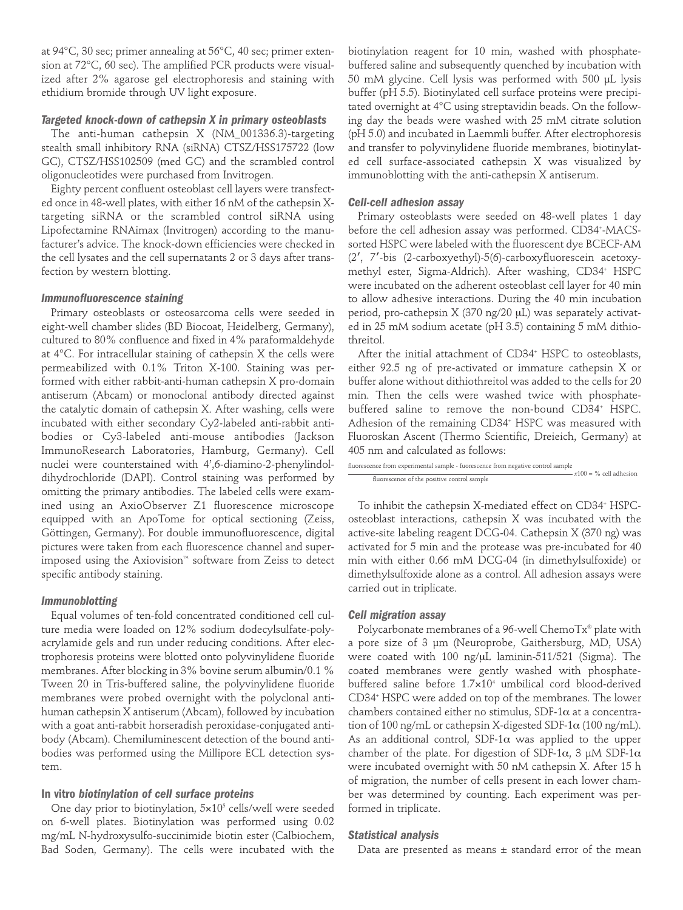at 94°C, 30 sec; primer annealing at 56°C, 40 sec; primer extension at 72°C, 60 sec). The amplified PCR products were visualized after 2% agarose gel electrophoresis and staining with ethidium bromide through UV light exposure.

#### *Targeted knock-down of cathepsin X in primary osteoblasts*

The anti-human cathepsin X (NM\_001336.3)-targeting stealth small inhibitory RNA (siRNA) CTSZ/HSS175722 (low GC), CTSZ/HSS102509 (med GC) and the scrambled control oligonucleotides were purchased from Invitrogen.

Eighty percent confluent osteoblast cell layers were transfected once in 48-well plates, with either 16 nM of the cathepsin Xtargeting siRNA or the scrambled control siRNA using Lipofectamine RNAimax (Invitrogen) according to the manufacturer's advice. The knock-down efficiencies were checked in the cell lysates and the cell supernatants 2 or 3 days after transfection by western blotting.

## *Immunofluorescence staining*

Primary osteoblasts or osteosarcoma cells were seeded in eight-well chamber slides (BD Biocoat, Heidelberg, Germany), cultured to 80% confluence and fixed in 4% paraformaldehyde at 4°C. For intracellular staining of cathepsin X the cells were permeabilized with 0.1% Triton X-100. Staining was performed with either rabbit-anti-human cathepsin X pro-domain antiserum (Abcam) or monoclonal antibody directed against the catalytic domain of cathepsin X. After washing, cells were incubated with either secondary Cy2-labeled anti-rabbit antibodies or Cy3-labeled anti-mouse antibodies (Jackson ImmunoResearch Laboratories, Hamburg, Germany). Cell nuclei were counterstained with 4',6-diamino-2-phenylindoldihydrochloride (DAPI). Control staining was performed by omitting the primary antibodies. The labeled cells were examined using an AxioObserver Z1 fluorescence microscope equipped with an ApoTome for optical sectioning (Zeiss, Göttingen, Germany). For double immunofluorescence, digital pictures were taken from each fluorescence channel and superimposed using the Axiovision™ software from Zeiss to detect specific antibody staining.

# *Immunoblotting*

Equal volumes of ten-fold concentrated conditioned cell culture media were loaded on 12% sodium dodecylsulfate-polyacrylamide gels and run under reducing conditions. After electrophoresis proteins were blotted onto polyvinylidene fluoride membranes. After blocking in 3% bovine serum albumin/0.1 % Tween 20 in Tris-buffered saline, the polyvinylidene fluoride membranes were probed overnight with the polyclonal antihuman cathepsin X antiserum (Abcam), followed by incubation with a goat anti-rabbit horseradish peroxidase-conjugated antibody (Abcam). Chemiluminescent detection of the bound antibodies was performed using the Millipore ECL detection system.

# **In vitro** *biotinylation of cell surface proteins*

One day prior to biotinylation,  $5 \times 10^5$  cells/well were seeded on 6-well plates. Biotinylation was performed using 0.02 mg/mL N-hydroxysulfo-succinimide biotin ester (Calbiochem, Bad Soden, Germany). The cells were incubated with the

biotinylation reagent for 10 min, washed with phosphatebuffered saline and subsequently quenched by incubation with 50 mM glycine. Cell lysis was performed with 500 µL lysis buffer (pH 5.5). Biotinylated cell surface proteins were precipitated overnight at 4°C using streptavidin beads. On the following day the beads were washed with 25 mM citrate solution (pH 5.0) and incubated in Laemmli buffer. After electrophoresis and transfer to polyvinylidene fluoride membranes, biotinylated cell surface-associated cathepsin X was visualized by immunoblotting with the anti-cathepsin X antiserum.

## *Cell-cell adhesion assay*

Primary osteoblasts were seeded on 48-well plates 1 day before the cell adhesion assay was performed. CD34+ -MACSsorted HSPC were labeled with the fluorescent dye BCECF-AM (2′, 7′-bis (2-carboxyethyl)-5(6)-carboxyfluorescein acetoxymethyl ester, Sigma-Aldrich). After washing, CD34+ HSPC were incubated on the adherent osteoblast cell layer for 40 min to allow adhesive interactions. During the 40 min incubation period, pro-cathepsin  $X$  (370 ng/20  $\mu$ L) was separately activated in 25 mM sodium acetate (pH 3.5) containing 5 mM dithiothreitol.

After the initial attachment of CD34<sup>+</sup> HSPC to osteoblasts, either 92.5 ng of pre-activated or immature cathepsin X or buffer alone without dithiothreitol was added to the cells for 20 min. Then the cells were washed twice with phosphatebuffered saline to remove the non-bound CD34+ HSPC. Adhesion of the remaining CD34<sup>+</sup> HSPC was measured with Fluoroskan Ascent (Thermo Scientific, Dreieich, Germany) at 405 nm and calculated as follows:

fluorescence from experimental sample - fuorescence from negative control sample  $x100 = %$  cell adhesion fluorescence of the positive control sample

To inhibit the cathepsin X-mediated effect on CD34+ HSPCosteoblast interactions, cathepsin X was incubated with the active-site labeling reagent DCG-04. Cathepsin X (370 ng) was activated for 5 min and the protease was pre-incubated for 40 min with either 0.66 mM DCG-04 (in dimethylsulfoxide) or dimethylsulfoxide alone as a control. All adhesion assays were carried out in triplicate.

### *Cell migration assay*

Polycarbonate membranes of a 96-well ChemoTx® plate with a pore size of 3 µm (Neuroprobe, Gaithersburg, MD, USA) were coated with  $100$  ng/ $\mu$ L laminin-511/521 (Sigma). The coated membranes were gently washed with phosphatebuffered saline before 1.7×10<sup>4</sup> umbilical cord blood-derived CD34+ HSPC were added on top of the membranes. The lower chambers contained either no stimulus, SDF-1 $\alpha$  at a concentration of 100 ng/mL or cathepsin X-digested SDF-1α (100 ng/mL). As an additional control, SDF-1 $\alpha$  was applied to the upper chamber of the plate. For digestion of SDF-1 $\alpha$ , 3 µM SDF-1 $\alpha$ were incubated overnight with 50 nM cathepsin X. After 15 h of migration, the number of cells present in each lower chamber was determined by counting. Each experiment was performed in triplicate.

#### *Statistical analysis*

Data are presented as means  $\pm$  standard error of the mean